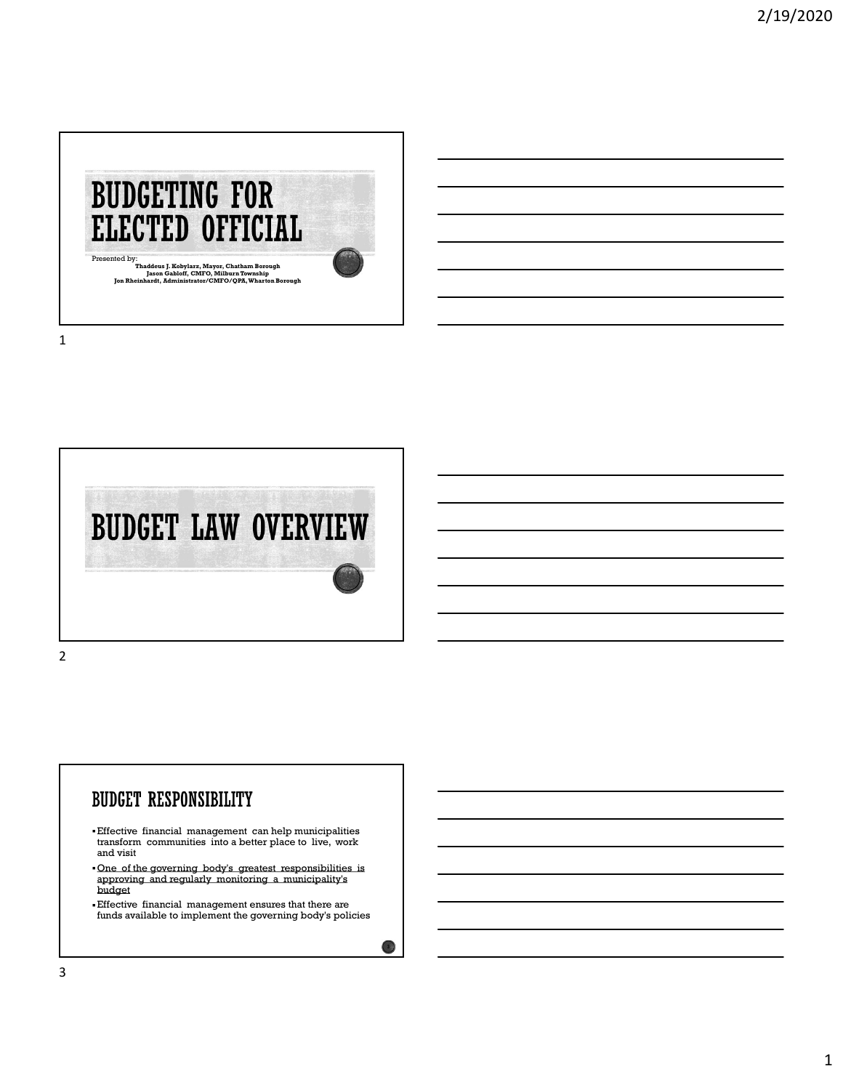



#### **BUDGET RESPONSIBILITY**

- Effective financial management can help municipalities transform communities into a better place to live, work and visit
- One of the governing body's greatest responsibilities is approving and regularly monitoring a municipality's budget
- Effective financial management ensures that there are funds available to implement the governing body's policies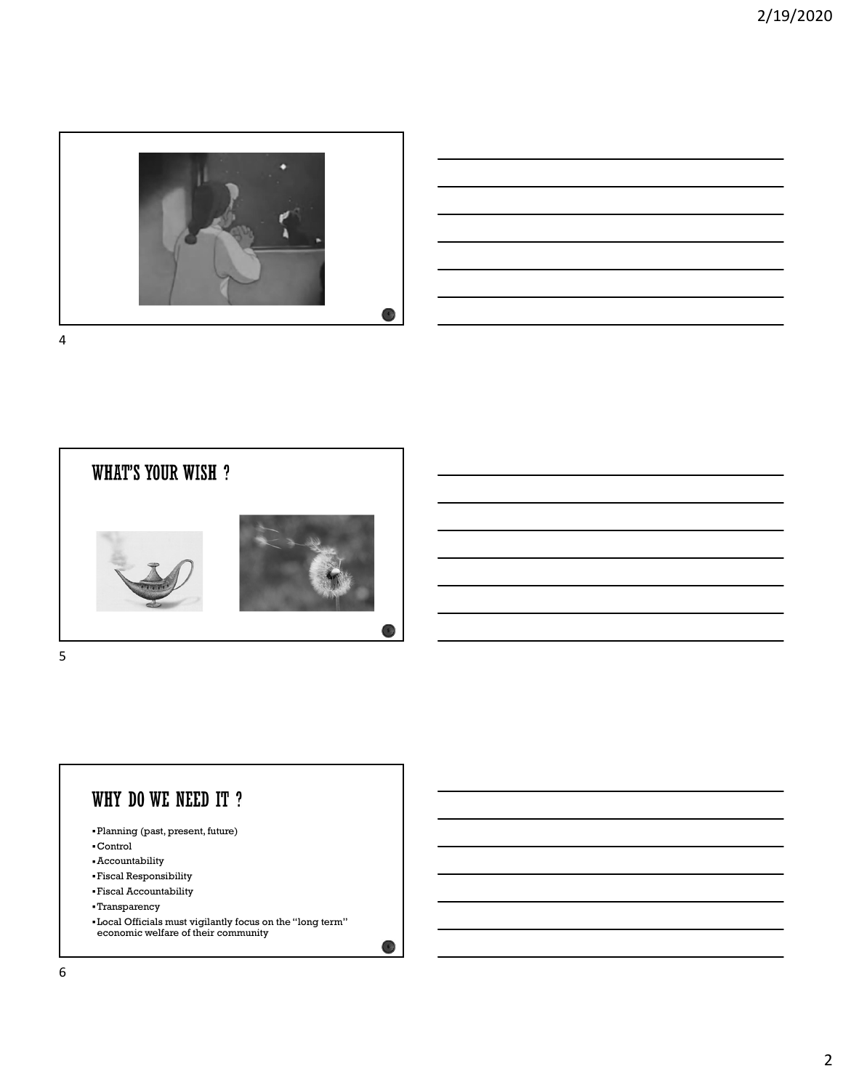







- Planning (past, present, future)
- Control
- Accountability
- Fiscal Responsibility
- Fiscal Accountability
- Transparency
- Local Officials must vigilantly focus on the "long term" economic welfare of their community

 $\epsilon$  )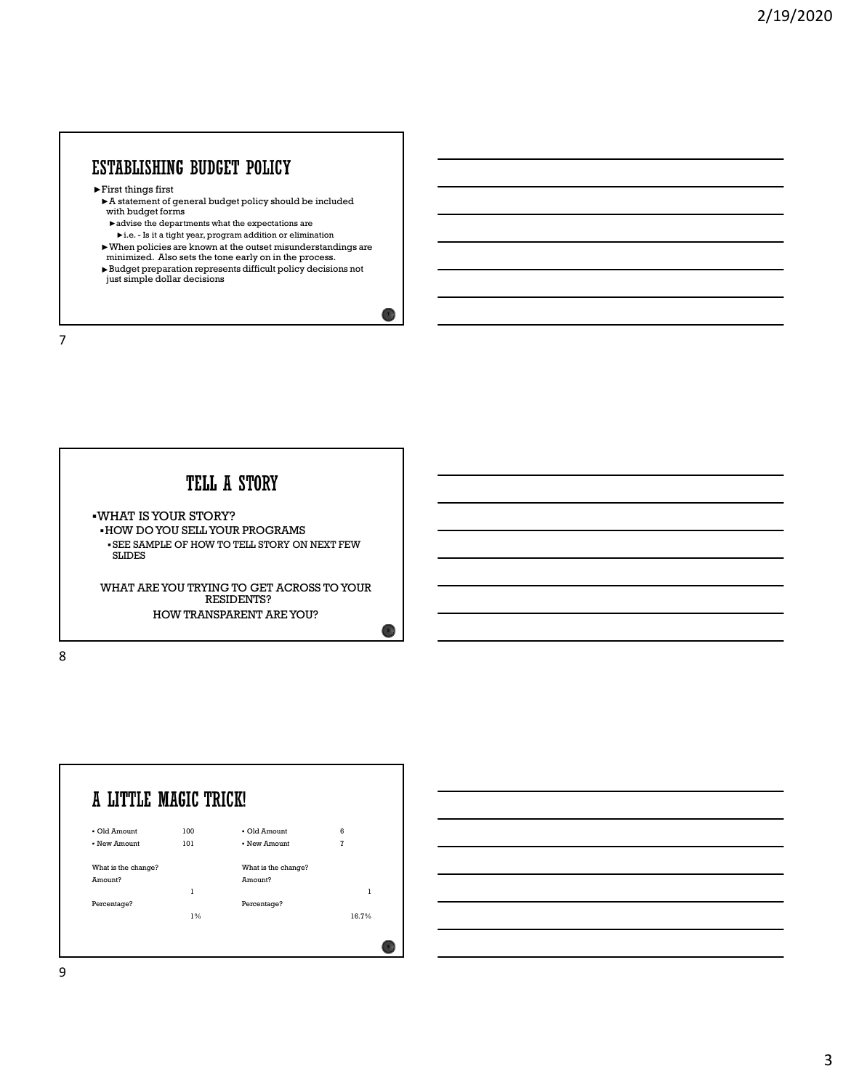►First things first

- ►A statement of general budget policy should be included with budget forms
	- $\blacktriangleright$  advise the departments what the expectations are
	-
- minimized. Also sets the tone early on in the process.
- STABLISHING BUDGET POLICY<br>
First things first<br>
First things first<br>
Natatement of general budget policy should be included<br>
with budget forms<br>
<br>
<br>
when policies are known at the outset misunderstandings are<br>
<br>
When policie ►Budget preparation represents difficult policy decisions not just simple dollar decisions

7

WHAT IS YOUR STORY? HOW DO YOU SELL YOUR PROGRAMS SEE SAMPLE OF HOW TO TELL STORY ON NEXT FEW SLIDES

WHAT ARE YOU TRYING TO GET ACROSS TO YOUR RESIDENTS? HOW TRANSPARENT ARE YOU?

8 and 2010 and 2010 and 2010 and 2010 and 2010 and 2010 and 2010 and 2010 and 2010 and 2010 and 2010 and 2010





 $\overline{1}$ 

 $\bullet$  )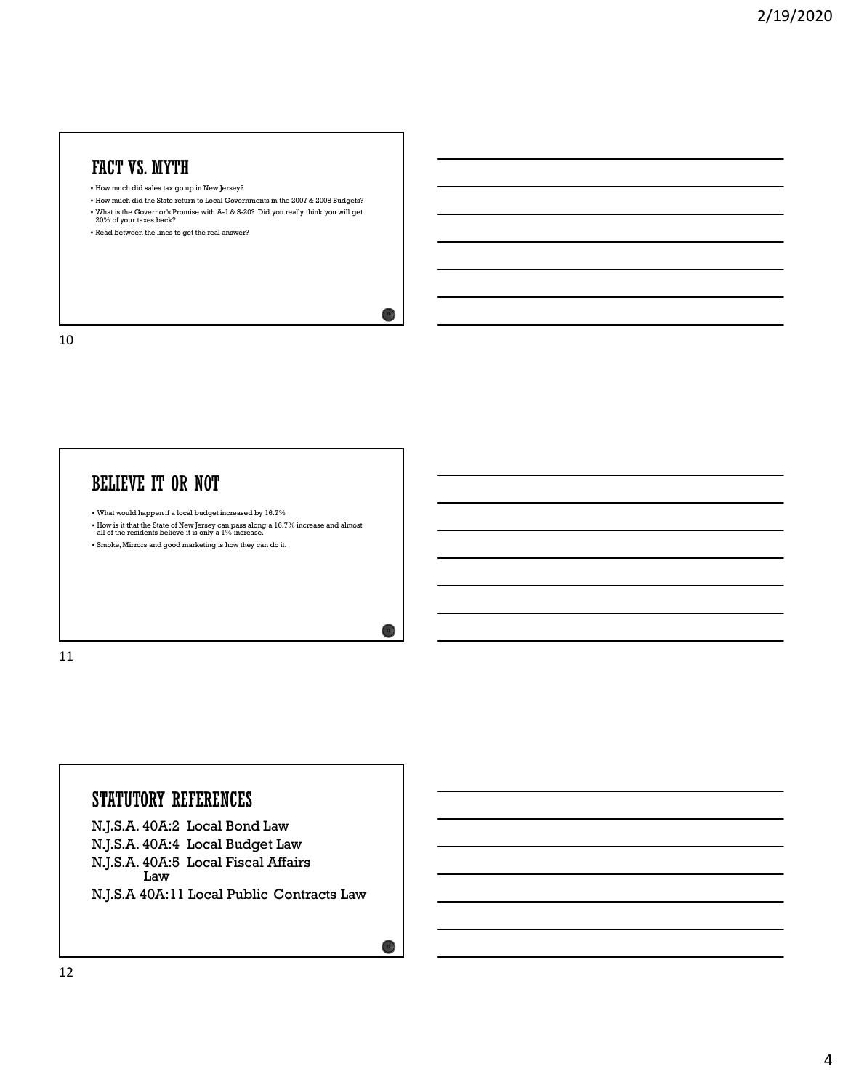## FACT VS. MYTH

- How much did sales tax go up in New Jersey?
- How much did the State return to Local Governments in the 2007 & 2008 Budgets? What is the Governor's Promise with A-1 & S-20? Did you really think you will get 20% of your taxes back?

 $10<sup>3</sup>$ 

11

 $12)$ 

Read between the lines to get the real answer?

10

#### **BELIEVE IT OR NOT**

- What would happen if a local budget increased by 16.7%
- How is it that the State of New Jersey can pass along a 16.7% increase and almost all of the residents believe it is only a 1% increase.
- Smoke, Mirrors and good marketing is how they can do it.

11

#### STATUTORY REFERENCES

N.J.S.A. 40A:2 Local Bond Law N.J.S.A. 40A:4 Local Budget Law N.J.S.A. 40A:5 Local Fiscal Affairs Law **Law Law** N.J.S.A 40A:11 Local Public Contracts Law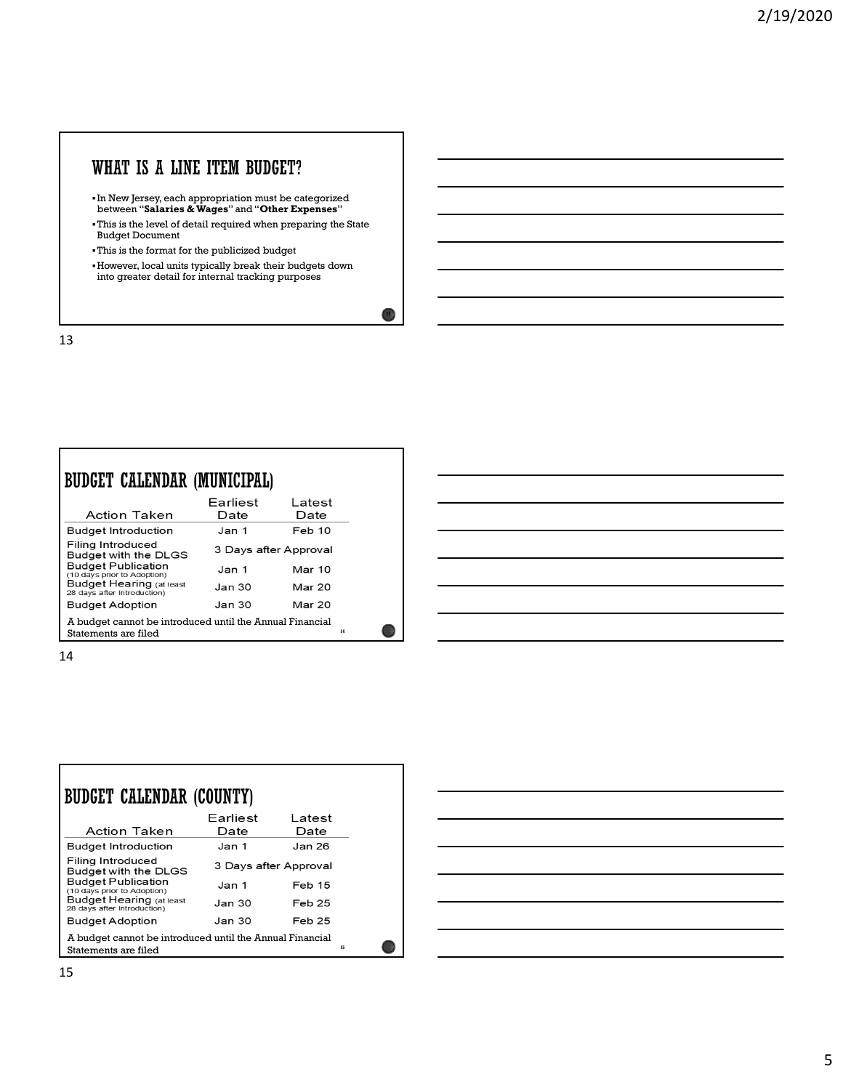# WHAT IS A LINE ITEM BUDGET?

- In New Jersey, each appropriation must be categorized between "Salaries & Wages" and "Other Expenses"
- This is the level of detail required when preparing the State Budget Document
- This is the format for the publicized budget
- However, local units typically break their budgets down into greater detail for internal tracking purposes

13

Г

| BUDGET CALENDAR (MUNICIPAL)                                                      |                       |                |    |  |
|----------------------------------------------------------------------------------|-----------------------|----------------|----|--|
| Action Taken                                                                     | Earliest<br>Date      | Latest<br>Date |    |  |
| <b>Budget Introduction</b>                                                       | Jan 1                 | Feb 10         |    |  |
| Filing Introduced<br>Budget with the DLGS                                        | 3 Days after Approval |                |    |  |
| <b>Budget Publication</b><br>(10 days prior to Adoption)                         | Jan 1                 | <b>Mar 10</b>  |    |  |
| <b>Budget Hearing (at least</b><br>28 days after Introduction)                   | Jan <sub>30</sub>     | <b>Mar 20</b>  |    |  |
| <b>Budget Adoption</b>                                                           | <b>Jan 30</b>         | Mar 20         |    |  |
| A budget cannot be introduced until the Annual Financial<br>Statements are filed |                       |                | 14 |  |

14

| BUDGET CALENDAR (COUNTY)                                                               |                   |                       |  |  |
|----------------------------------------------------------------------------------------|-------------------|-----------------------|--|--|
| <b>Action Taken</b>                                                                    | Earliest<br>Date  | Latest<br>Date        |  |  |
| <b>Budget Introduction</b>                                                             | Jan 1             | Jan 26                |  |  |
| Filing Introduced<br>Budget with the DLGS                                              |                   | 3 Days after Approval |  |  |
| <b>Budget Publication</b><br>(10 days prior to Adoption)                               | Jan <sub>1</sub>  | Feb 15                |  |  |
| <b>Budget Hearing (at least</b><br>28 days after Introduction)                         | Jan <sub>30</sub> | Feb 25                |  |  |
| <b>Budget Adoption</b>                                                                 | Jan 30            | Feb 25                |  |  |
| A budget cannot be introduced until the Annual Financial<br>15<br>Statements are filed |                   |                       |  |  |



 $13<sup>3</sup>$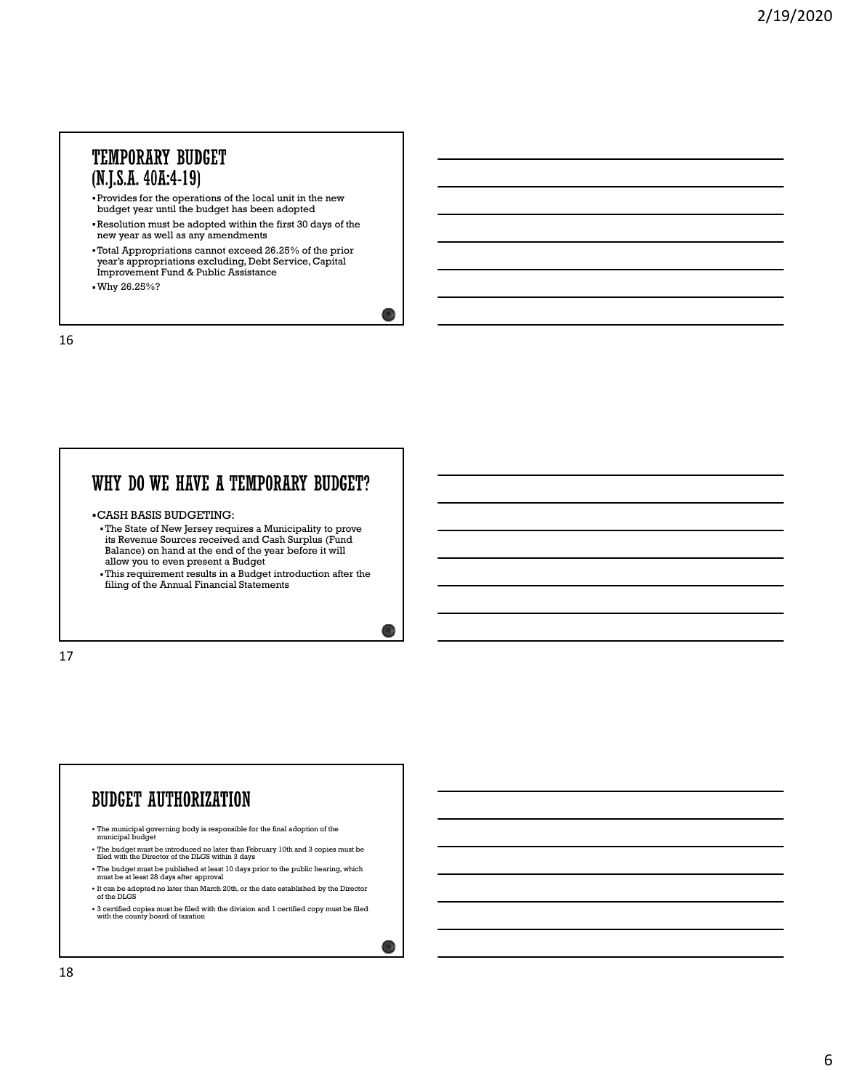#### **TEMPORARY BUDGET** (N.J.S.A. 40A:4-19)

- Provides for the operations of the local unit in the new budget year until the budget has been adopted
- Resolution must be adopted within the first 30 days of the new year as well as any amendments
- Total Appropriations cannot exceed 26.25% of the prior year's appropriations excluding, Debt Service, Capital Improvement Fund & Public Assistance
- Why 26.25%?

16

#### WHY DO WE HAVE A TEMPORARY BUDGET?

- CASH BASIS BUDGETING:
- The State of New Jersey requires a Municipality to prove its Revenue Sources received and Cash Surplus (Fund Balance) on hand at the end of the year before it will allow you to even present a Budget
- This requirement results in a Budget introduction after the filing of the Annual Financial Statements

17

#### **BUDGET AUTHORIZATION**

- The municipal governing body is responsible for the final adoption of the municipal budget
- The budget must be introduced no later than February 10th and 3 copies must be filed with the Director of the DLGS within 3 days
- The budget must be published at least 10 days prior to the public hearing, which must be at least 28 days after approval
- $\bullet$  It can be adopted no later than March 20th, or the date established by the Director of the DLGS
- 3 certified copies must be filed with the division and 1 certified copy must be filed with the county board of taxation

 $18)$ 

 $16<sub>1</sub>$ 

 $17)$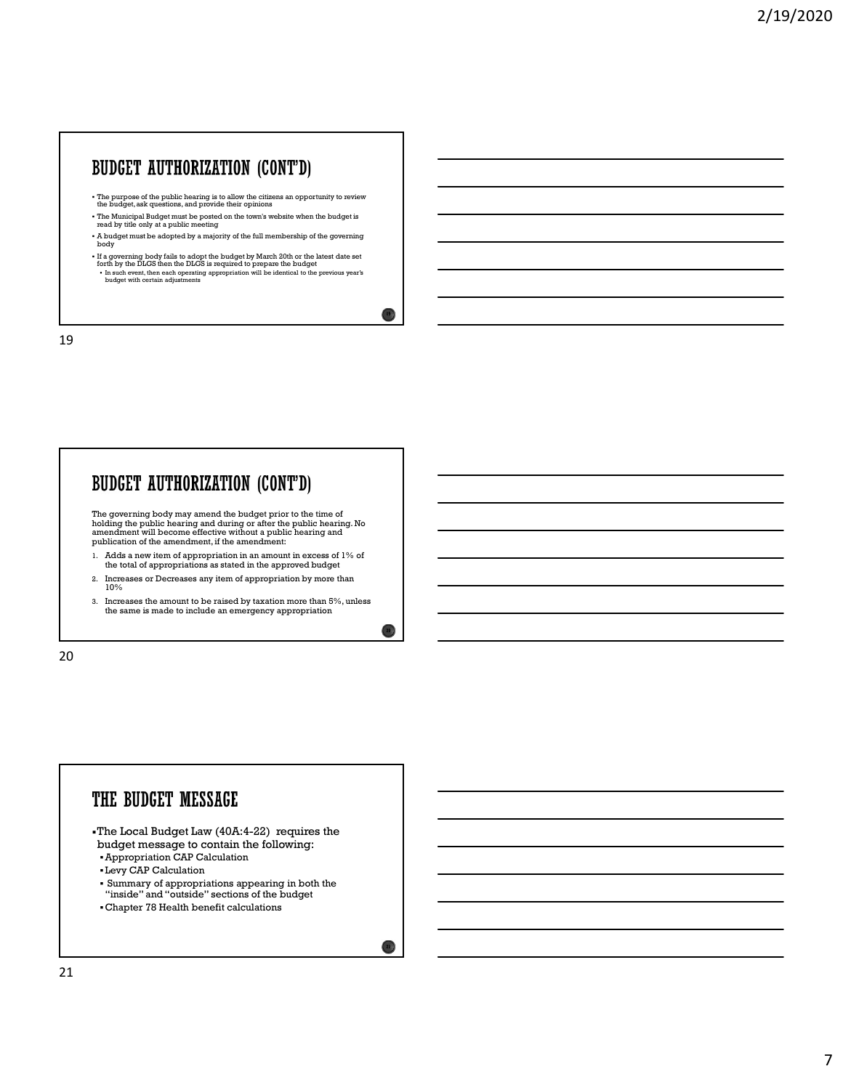## **BUDGET AUTHORIZATION (CONT'D)**

- The purpose of the public hearing is to allow the citizens an opportunity to review the budget, ask questions, and provide their opinions
- The Municipal Budget must be posted on the town's website when the budget is read by title only at a public meeting
- A budget must be adopted by a majority of the full membership of the governing body and the second contract of the second contract of the second contract of the second contract of the second contract of the second contract of the second contract of the second contract of the second contract of the se
- If a governing body fails to adopt the budget by March 20th or the latest date set<br>forth by the DLGS then the DLGS is required to prepare the budget<br>• In such event, then each operating appropriation will be identical to

 $19<sup>3</sup>$ 

20  $\lambda$ 

19

#### **BUDGET AUTHORIZATION (CONT'D)**

The governing body may amend the budget prior to the time of holding the public hearing and during or after the public hearing. No amendment will become effective without a public hearing and publication of the amendment, if the amendment:

- 1. Adds a new item of appropriation in an amount in excess of 1% of the total of appropriations as stated in the approved budget
- 2. Increases or Decreases any item of appropriation by more than  $10\%$
- 3. Increases the amount to be raised by taxation more than 5%, unless the same is made to include an emergency appropriation

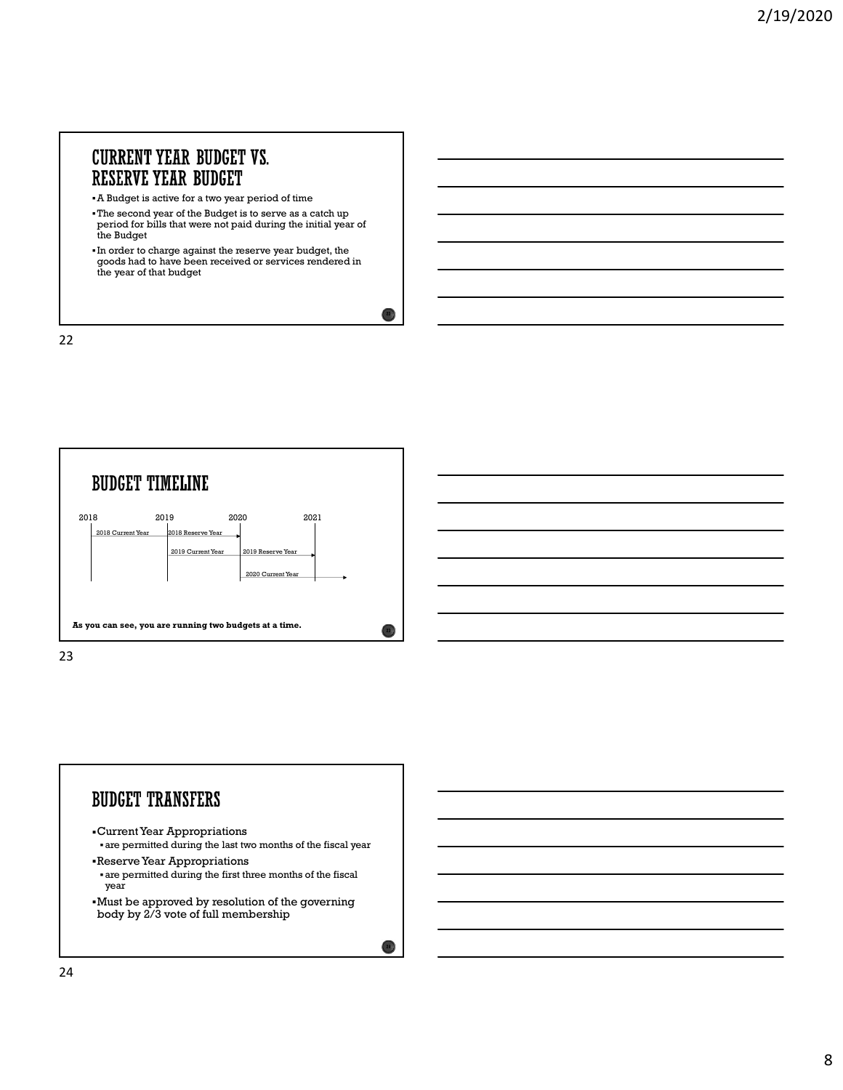# **CURRENT YEAR BUDGET VS.**

- A Budget is active for a two year period of time
- The second year of the Budget is to serve as a catch up period for bills that were not paid during the initial year of the Budget
- In order to charge against the reserve year budget, the goods had to have been received or services rendered in the year of that budget

 $22)$ 



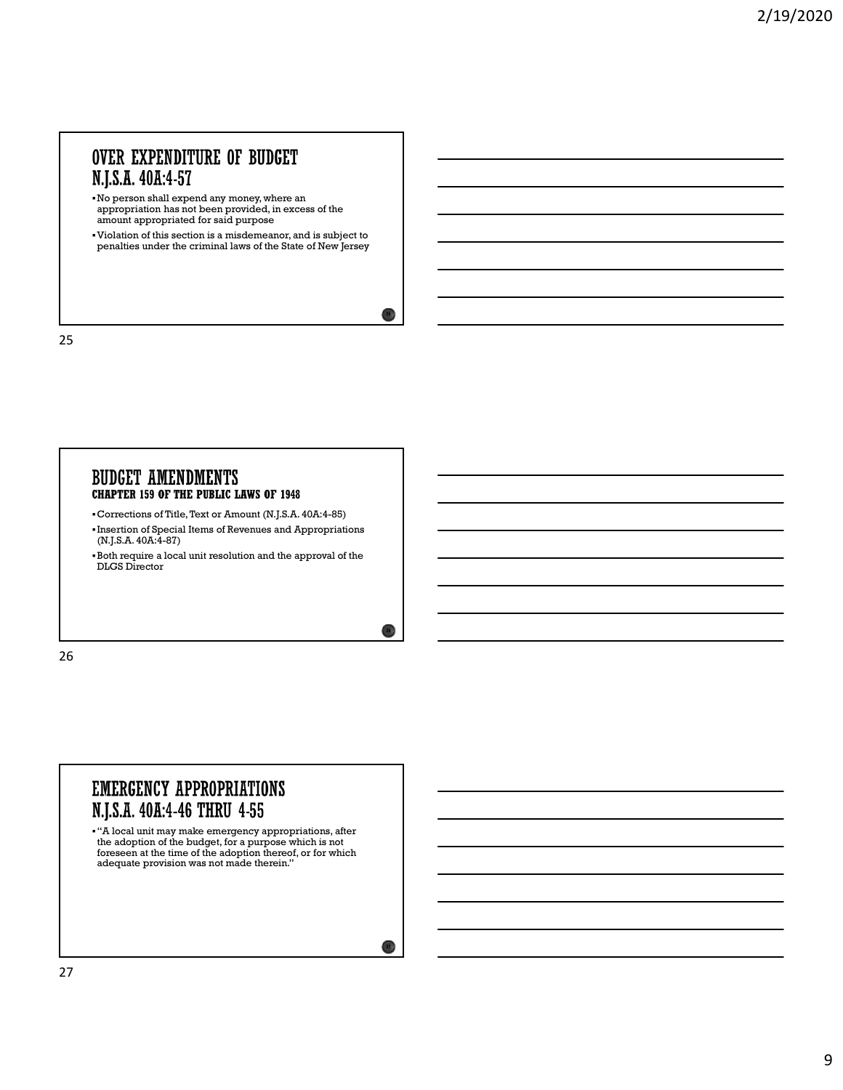#### **OVER EXPENDITURE OF BUDGET** N.J.S.A. 40A:4-57

- No person shall expend any money, where an appropriation has not been provided, in excess of the amount appropriated for said purpose
- Violation of this section is a misdemeanor, and is subject to penalties under the criminal laws of the State of New Jersey

 $25.1$ 

 $26\%$ 

 $27)$ 

25 and 25 and 25 and 25 and 25 and 25 and 25 and 26 and 26 and 26 and 26 and 26 and 26 and 26 and 26 and 26 an

#### **BUDGET AMENDMENTS CHAPTER 159 OF THE PUBLIC LAWS OF 1948**

- Corrections of Title, Text or Amount (N.J.S.A. 40A:4-85)
- Insertion of Special Items of Revenues and Appropriations (N.J.S.A. 40A:4-87)
- Both require a local unit resolution and the approval of the DLGS Director

26 and the contract of the contract of the contract of the contract of the contract of the contract of the contract of the contract of the contract of the contract of the contract of the contract of the contract of the con

#### **EMERGENCY APPROPRIATIONS** N.J.S.A. 40A:4-46 THRU 4-55

"A local unit may make emergency appropriations, after the adoption of the budget, for a purpose which is not foreseen at the time of the adoption thereof, or for which adequate provision was not made therein."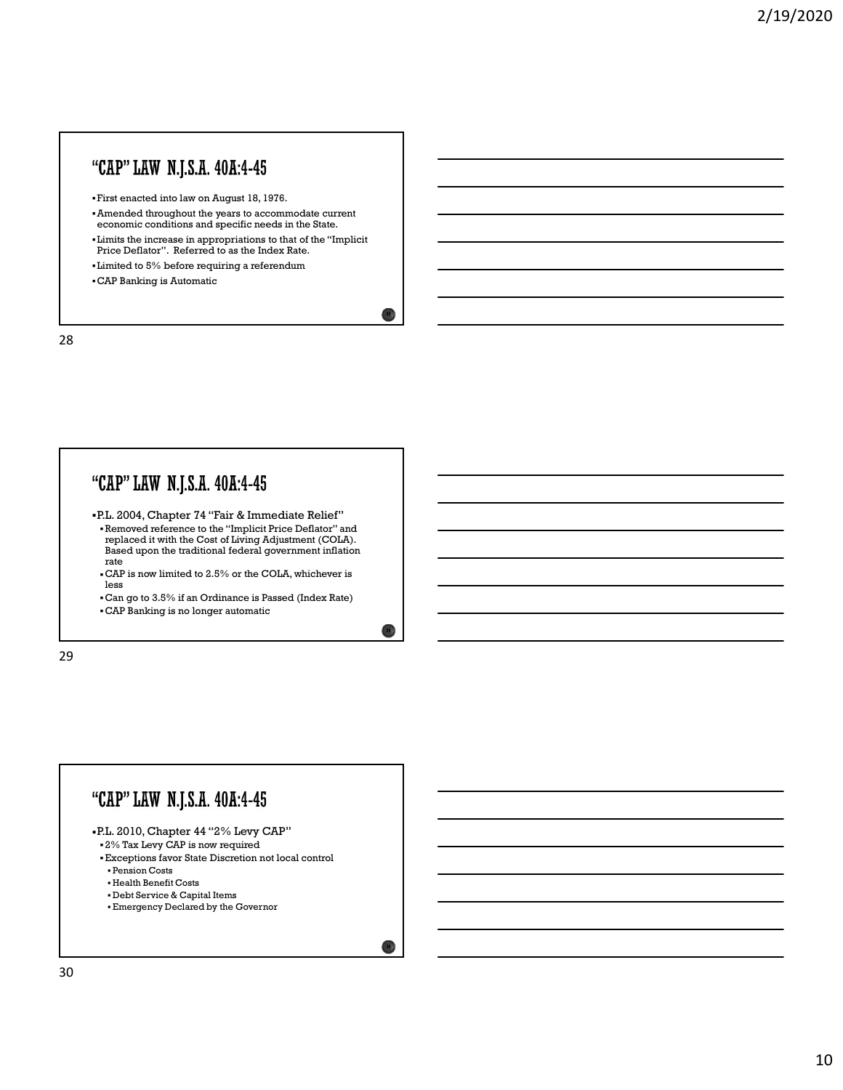### "CAP" LAW N.J.S.A. 40A:4-45

First enacted into law on August 18, 1976.

- Amended throughout the years to accommodate current economic conditions and specific needs in the State.
- Limits the increase in appropriations to that of the "Implicit Price Deflator". Referred to as the Index Rate.

28 a march 200 and 200 and 200 and 200 and 200 and 200 and 200 and 200 and 200 and 200 and 200 and 200 and 200

 $29\%$ 

 $30\text{ J}$ 

- Limited to 5% before requiring a referendum
- CAP Banking is Automatic

28

#### "CAP" LAW N.J.S.A. 40A:4-45

- P.L. 2004, Chapter 74 "Fair & Immediate Relief" Removed reference to the "Implicit Price Deflator" and replaced it with the Cost of Living Adjustment (COLA). Based upon the traditional federal government inflation rate that the contract of the contract of the contract of the contract of the contract of the contract of the contract of the contract of the contract of the contract of the contract of the contract of the contract of the
- $\textup{\textbf{c}}$  CAP is now limited to 2.5% or the COLA, whichever is less less
- Can go to 3.5% if an Ordinance is Passed (Index Rate)
- CAP Banking is no longer automatic

29

#### "CAP" LAW N.J.S.A. 40A:4-45 P.L. 2010, Chapter 44 "2% Levy CAP" 2% Tax Levy CAP is now required Exceptions favor State Discretion not local control Pension Costs Health Benefit Costs Debt Service & Capital Items Emergency Declared by the Governor